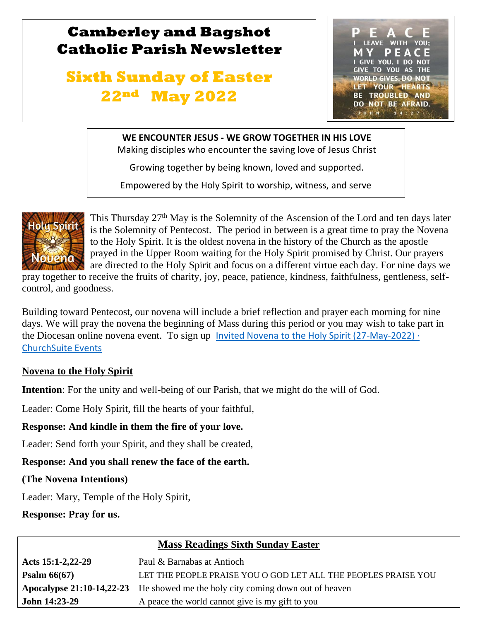## **Camberley and Bagshot Catholic Parish Newsletter**

# **Sixth Sunday of Easter 22nd May 2022**



### **WE ENCOUNTER JESUS - WE GROW TOGETHER IN HIS LOVE**

Making disciples who encounter the saving love of Jesus Christ

Growing together by being known, loved and supported.

Empowered by the Holy Spirit to worship, witness, and serve



l

 $\mathbb{R}$ 

This Thursday 27<sup>th</sup> May is the Solemnity of the Ascension of the Lord and ten days later is the Solemnity of Pentecost. The period in between is a great time to pray the Novena to the Holy Spirit. It is the oldest novena in the history of the Church as the apostle prayed in the Upper Room waiting for the Holy Spirit promised by Christ. Our prayers are directed to the Holy Spirit and focus on a different virtue each day. For nine days we

pray together to receive the fruits of charity, joy, peace, patience, kindness, faithfulness, gentleness, selfcontrol, and goodness.

Building toward Pentecost, our novena will include a brief reflection and prayer each morning for nine days. We will pray the novena the beginning of Mass during this period or you may wish to take part in the Diocesan online novena event. To sign up Invited Novena to the Holy Spirit (27-May-2022)  $\cdot$ [ChurchSuite Events](https://abdiocese.churchsuite.com/events/whgsjpng)

### **Novena to the Holy Spirit**

**Intention**: For the unity and well-being of our Parish, that we might do the will of God.

Leader: Come Holy Spirit, fill the hearts of your faithful,

### **Response: And kindle in them the fire of your love.**

Leader: Send forth your Spirit, and they shall be created,

### **Response: And you shall renew the face of the earth.**

**(The Novena Intentions)** 

Leader: Mary, Temple of the Holy Spirit,

**Response: Pray for us.**

### **Mass Readings Sixth Sunday Easter**

| Acts 15:1-2,22-29 | Paul & Barnabas at Antioch                                                            |  |
|-------------------|---------------------------------------------------------------------------------------|--|
| Psalm $66(67)$    | LET THE PEOPLE PRAISE YOU O GOD LET ALL THE PEOPLES PRAISE YOU                        |  |
|                   | <b>Apocalypse 21:10-14,22-23</b> He showed me the holy city coming down out of heaven |  |
| John 14:23-29     | A peace the world cannot give is my gift to you                                       |  |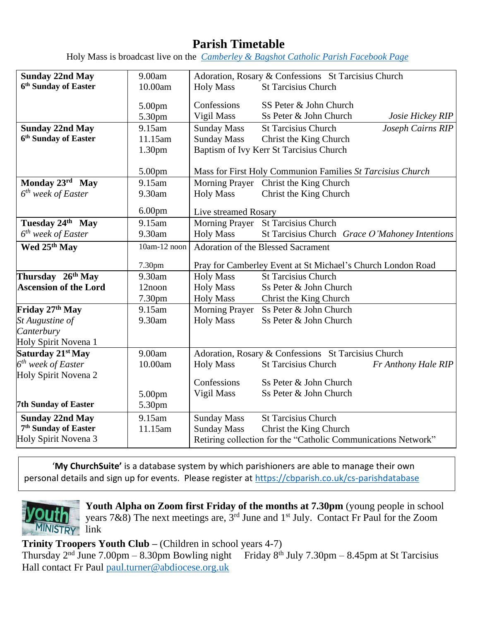### **Parish Timetable**

Holy Mass is broadcast live on the *[Camberley & Bagshot Catholic Parish Facebook Page](https://www.facebook.com/Camberley-Bagshot-Catholic-Parish-102099478101801/)*

| <b>Sunday 22nd May</b>           | 9.00am             | Adoration, Rosary & Confessions St Tarcisius Church         |                                                               |  |
|----------------------------------|--------------------|-------------------------------------------------------------|---------------------------------------------------------------|--|
| 6 <sup>th</sup> Sunday of Easter | 10.00am            | <b>Holy Mass</b>                                            | <b>St Tarcisius Church</b>                                    |  |
|                                  |                    | Confessions                                                 | SS Peter & John Church                                        |  |
|                                  | 5.00pm             |                                                             |                                                               |  |
|                                  | 5.30pm             | Vigil Mass                                                  | Ss Peter & John Church<br>Josie Hickey RIP                    |  |
| <b>Sunday 22nd May</b>           | 9.15am             | <b>Sunday Mass</b>                                          | <b>St Tarcisius Church</b><br>Joseph Cairns RIP               |  |
| 6 <sup>th</sup> Sunday of Easter | 11.15am            | <b>Sunday Mass</b>                                          | Christ the King Church                                        |  |
|                                  | 1.30 <sub>pm</sub> | Baptism of Ivy Kerr St Tarcisius Church                     |                                                               |  |
|                                  |                    |                                                             |                                                               |  |
|                                  | 5.00pm             | Mass for First Holy Communion Families St Tarcisius Church  |                                                               |  |
| Monday 23rd May                  | 9.15am             |                                                             | Morning Prayer Christ the King Church                         |  |
| $6th$ week of Easter             | 9.30am             | <b>Holy Mass</b>                                            | Christ the King Church                                        |  |
|                                  |                    |                                                             |                                                               |  |
|                                  | 6.00 <sub>pm</sub> | Live streamed Rosary                                        |                                                               |  |
| Tuesday 24th May                 | 9.15am             |                                                             | Morning Prayer St Tarcisius Church                            |  |
| $6^{th}$ week of Easter          | 9.30am             | <b>Holy Mass</b>                                            | St Tarcisius Church Grace O'Mahoney Intentions                |  |
| Wed 25th May                     | 10am-12 noon       | <b>Adoration of the Blessed Sacrament</b>                   |                                                               |  |
|                                  |                    |                                                             |                                                               |  |
|                                  | 7.30pm             | Pray for Camberley Event at St Michael's Church London Road |                                                               |  |
| Thursday 26th May                | 9.30am             | <b>Holy Mass</b>                                            | <b>St Tarcisius Church</b>                                    |  |
| <b>Ascension of the Lord</b>     | 12noon             | <b>Holy Mass</b>                                            | Ss Peter & John Church                                        |  |
|                                  | 7.30pm             | <b>Holy Mass</b><br>Christ the King Church                  |                                                               |  |
| Friday 27th May                  | 9.15am             | <b>Morning Prayer</b>                                       | Ss Peter & John Church                                        |  |
| St Augustine of                  | 9.30am             | <b>Holy Mass</b>                                            | Ss Peter & John Church                                        |  |
| Canterbury                       |                    |                                                             |                                                               |  |
| Holy Spirit Novena 1             |                    |                                                             |                                                               |  |
| Saturday 21 <sup>st</sup> May    | 9.00am             | Adoration, Rosary & Confessions St Tarcisius Church         |                                                               |  |
| $6^{th}$ week of Easter          | 10.00am            | <b>Holy Mass</b>                                            | <b>St Tarcisius Church</b><br>Fr Anthony Hale RIP             |  |
| Holy Spirit Novena 2             |                    |                                                             |                                                               |  |
|                                  |                    | Confessions                                                 | Ss Peter & John Church                                        |  |
|                                  | 5.00pm             | Vigil Mass                                                  | Ss Peter & John Church                                        |  |
| <b>7th Sunday of Easter</b>      | 5.30pm             |                                                             |                                                               |  |
| <b>Sunday 22nd May</b>           | 9.15am             | <b>Sunday Mass</b>                                          | <b>St Tarcisius Church</b>                                    |  |
| 7 <sup>th</sup> Sunday of Easter | 11.15am            | <b>Sunday Mass</b><br>Christ the King Church                |                                                               |  |
|                                  |                    |                                                             |                                                               |  |
| Holy Spirit Novena 3             |                    |                                                             | Retiring collection for the "Catholic Communications Network" |  |

'**My ChurchSuite'** is a database system by which parishioners are able to manage their own personal details and sign up for events. Please register at<https://cbparish.co.uk/cs-parishdatabase>



**Youth Alpha on Zoom first Friday of the months at 7.30pm** (young people in school years 7&8) The next meetings are,  $3<sup>rd</sup>$  June and  $1<sup>st</sup>$  July. Contact Fr Paul for the Zoom

**Trinity Troopers Youth Club –** (Children in school years 4-7)

Thursday  $2<sup>nd</sup>$  June 7.00pm – 8.30pm Bowling night Friday 8<sup>th</sup> July 7.30pm – 8.45pm at St Tarcisius Hall contact Fr Paul paul.turner@abdiocese.org.uk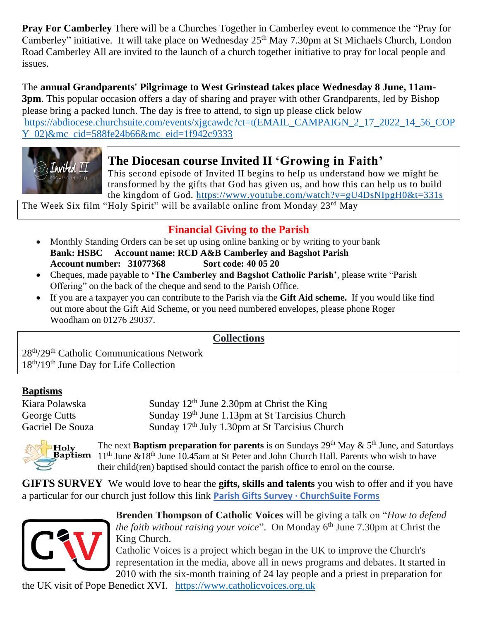**Pray For Camberley** There will be a Churches Together in Camberley event to commence the "Pray for Camberley" initiative. It will take place on Wednesday 25<sup>th</sup> May 7.30pm at St Michaels Church, London Road Camberley All are invited to the launch of a church together initiative to pray for local people and issues.

The **annual Grandparents' Pilgrimage to West Grinstead takes place Wednesday 8 June, 11am-3pm**. This popular occasion offers a day of sharing and prayer with other Grandparents, led by Bishop please bring a packed lunch. The day is free to attend, to sign up please click below [https://abdiocese.churchsuite.com/events/xjgcawdc?ct=t\(EMAIL\\_CAMPAIGN\\_2\\_17\\_2022\\_14\\_56\\_COP](https://abdiocese.churchsuite.com/events/xjgcawdc?ct=t(EMAIL_CAMPAIGN_2_17_2022_14_56_COPY_02)&mc_cid=588fe24b66&mc_eid=1f942c9333) [Y\\_02\)&mc\\_cid=588fe24b66&mc\\_eid=1f942c9333](https://abdiocese.churchsuite.com/events/xjgcawdc?ct=t(EMAIL_CAMPAIGN_2_17_2022_14_56_COPY_02)&mc_cid=588fe24b66&mc_eid=1f942c9333)



### **The Diocesan course Invited II 'Growing in Faith'**

This second episode of Invited II begins to help us understand how we might be transformed by the gifts that God has given us, and how this can help us to build the kingdom of God. <https://www.youtube.com/watch?v=gU4DsNIpgH0&t=331s>

The Week Six film "Holy Spirit" will be available online from Monday 23<sup>rd</sup> May

### **Financial Giving to the Parish**

- Monthly Standing Orders can be set up using online banking or by writing to your bank **Bank: HSBC Account name: RCD A&B Camberley and Bagshot Parish Account number: 31077368 Sort code: 40 05 20**
- Cheques, made payable to **'The Camberley and Bagshot Catholic Parish'**, please write "Parish Offering" on the back of the cheque and send to the Parish Office.
- If you are a taxpayer you can contribute to the Parish via the **Gift Aid scheme.** If you would like find out more about the Gift Aid Scheme, or you need numbered envelopes, please phone Roger Woodham on 01276 29037.

### **Collections**

28th/29th Catholic Communications Network 18th/19th June Day for Life Collection

### **Baptisms**

Kiara Polawska Sunday 12<sup>th</sup> June 2.30pm at Christ the King George Cutts Sunday 19<sup>th</sup> June 1.13pm at St Tarcisius Church Gacriel De Souza Sunday 17<sup>th</sup> July 1.30pm at St Tarcisius Church



The next **Baptism preparation for parents** is on Sundays  $29<sup>th</sup>$  May  $\& 5<sup>th</sup>$  June, and Saturdays **Baptism**  $11<sup>th</sup>$  June  $&18<sup>th</sup>$  June 10.45am at St Peter and John Church Hall. Parents who wish to have their child(ren) baptised should contact the parish office to enrol on the course.

**GIFTS SURVEY** We would love to hear the **gifts, skills and talents** you wish to offer and if you have a particular for our church just follow this link **[Parish Gifts Survey · ChurchSuite Forms](https://camberleybagshotcatholicparish.churchsuite.com/forms/dhozqq3w)**



**Brenden Thompson of Catholic Voices** will be giving a talk on "*How to defend the faith without raising your voice*". On Monday 6<sup>th</sup> June 7.30pm at Christ the King Church.

Catholic Voices is a project which began in the UK to improve the Church's representation in the media, above all in news programs and debates. It started in 2010 with the six-month training of 24 lay people and a priest in preparation for

the UK visit of Pope Benedict XVI. [https://www.catholicvoices.org.uk](https://www.catholicvoices.org.uk/)